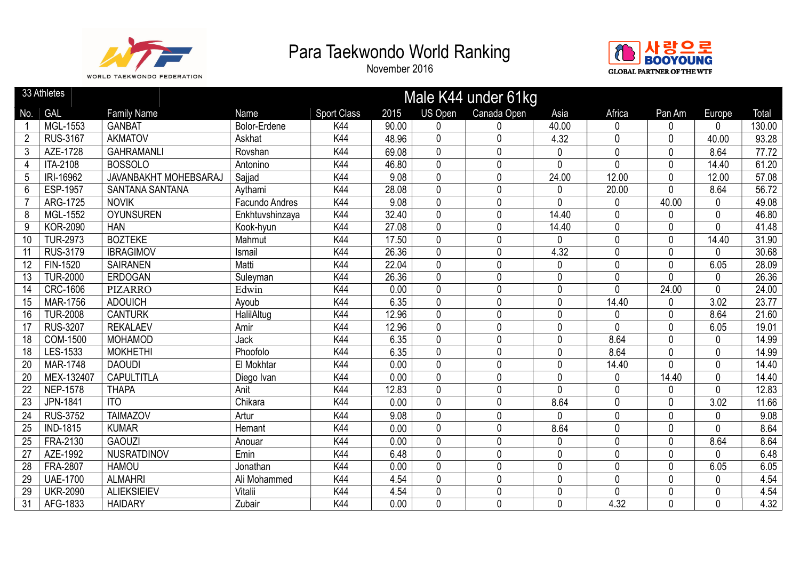



|                 | 33 Athletes     |                        |                 |                    |       |                | Male K44 under 61kg |              |              |                |              |                   |
|-----------------|-----------------|------------------------|-----------------|--------------------|-------|----------------|---------------------|--------------|--------------|----------------|--------------|-------------------|
| No.             | GAL             | <b>Family Name</b>     | Name            | <b>Sport Class</b> | 2015  | <b>US Open</b> | Canada Open         | Asia         | Africa       | Pan Am         | Europe       | Total             |
|                 | MGL-1553        | <b>GANBAT</b>          | Bolor-Erdene    | K44                | 90.00 | 0              | 0                   | 40.00        | $\Omega$     | N              | $\Omega$     | 130.00            |
| $\overline{2}$  | <b>RUS-3167</b> | <b>AKMATOV</b>         | Askhat          | K44                | 48.96 | 0              | 0                   | 4.32         | $\Omega$     | 0              | 40.00        | 93.28             |
| 3               | AZE-1728        | <b>GAHRAMANLI</b>      | Rovshan         | K44                | 69.08 | $\mathbf 0$    | 0                   | 0            | 0            | 0              | 8.64         | 77.72             |
| $\overline{4}$  | ITA-2108        | <b>BOSSOLO</b>         | Antonino        | K44                | 46.80 | $\mathbf{0}$   | 0                   | $\mathbf{0}$ | $\mathbf{0}$ | 0              | 14.40        | 61.20             |
| 5               | IRI-16962       | JAVANBAKHT MOHEBSARAJ  | Sajjad          | K44                | 9.08  | $\mathbf 0$    | 0                   | 24.00        | 12.00        | 0              | 12.00        | 57.08             |
| $6\phantom{1}$  | <b>ESP-1957</b> | <b>SANTANA SANTANA</b> | Aythami         | K44                | 28.08 | 0              | 0                   | 0            | 20.00        | 0              | 8.64         | 56.72             |
|                 | ARG-1725        | <b>NOVIK</b>           | Facundo Andres  | K44                | 9.08  | 0              | 0                   | $\mathbf{0}$ | 0            | 40.00          | $\mathbf 0$  | 49.08             |
| 8               | MGL-1552        | <b>OYUNSUREN</b>       | Enkhtuvshinzaya | K44                | 32.40 | 0              | 0                   | 14.40        | $\mathbf{0}$ | 0              | $\mathbf 0$  | 46.80             |
| 9               | <b>KOR-2090</b> | <b>HAN</b>             | Kook-hyun       | K44                | 27.08 | $\mathbf{0}$   | 0                   | 14.40        | $\mathbf{0}$ | 0              | $\mathbf{0}$ | 41.48             |
| $\overline{10}$ | <b>TUR-2973</b> | <b>BOZTEKE</b>         | Mahmut          | K44                | 17.50 | $\overline{0}$ | $\mathbf{0}$        | $\mathbf{0}$ | $\mathbf{0}$ | $\overline{0}$ | 14.40        | 31.90             |
| 11              | <b>RUS-3179</b> | <b>IBRAGIMOV</b>       | Ismail          | K44                | 26.36 | 0              | 0                   | 4.32         | $\mathbf{0}$ | 0              | $\mathbf 0$  | 30.68             |
| 12              | FIN-1520        | <b>SAIRANEN</b>        | Matti           | K44                | 22.04 | $\mathbf{0}$   | 0                   | $\mathbf 0$  | $\Omega$     | 0              | 6.05         | 28.09             |
| $\overline{13}$ | <b>TUR-2000</b> | <b>ERDOGAN</b>         | Suleyman        | K44                | 26.36 | $\mathbf 0$    | 0                   | $\mathbf 0$  | 0            | 0              | $\mathbf 0$  | 26.36             |
| 14              | <b>CRC-1606</b> | <b>PIZARRO</b>         | Edwin           | K44                | 0.00  | $\mathbf 0$    | 0                   | $\mathbf 0$  | $\Omega$     | 24.00          | $\mathbf{0}$ | 24.00             |
| 15              | <b>MAR-1756</b> | <b>ADOUICH</b>         | Ayoub           | K44                | 6.35  | $\mathbf{0}$   | 0                   | $\mathbf{0}$ | 14.40        | 0              | 3.02         | 23.77             |
| 16              | <b>TUR-2008</b> | <b>CANTURK</b>         | HalilAltug      | K44                | 12.96 | 0              | 0                   | $\mathbf 0$  | 0            | 0              | 8.64         | 21.60             |
| 17              | <b>RUS-3207</b> | <b>REKALAEV</b>        | Amir            | K44                | 12.96 | $\mathbf 0$    | 0                   | $\mathbf 0$  | 0            | 0              | 6.05         | 19.01             |
| 18              | COM-1500        | <b>MOHAMOD</b>         | Jack            | K44                | 6.35  | $\mathbf{0}$   | 0                   | $\mathbf 0$  | 8.64         | 0              | $\mathbf 0$  | 14.99             |
| $\overline{18}$ | LES-1533        | <b>MOKHETHI</b>        | Phoofolo        | K44                | 6.35  | 0              | 0                   | $\mathbf 0$  | 8.64         | 0              | $\mathbf 0$  | 14.99             |
| 20              | <b>MAR-1748</b> | <b>DAOUDI</b>          | El Mokhtar      | K44                | 0.00  | 0              | 0                   | 0            | 14.40        | 0              | $\mathbf 0$  | 14.40             |
| 20              | MEX-132407      | <b>CAPULTITLA</b>      | Diego Ivan      | K44                | 0.00  | $\mathbf 0$    | $\mathbf 0$         | $\mathbf{0}$ | 0            | 14.40          | $\mathbf 0$  | 14.40             |
| $\overline{22}$ | <b>NEP-1578</b> | <b>THAPA</b>           | Anit            | K44                | 12.83 | $\mathbf 0$    | 0                   | $\mathbf{0}$ | $\mathbf{0}$ | 0              | $\mathbf{0}$ | 12.83             |
| 23              | JPN-1841        | <b>ITO</b>             | Chikara         | K44                | 0.00  | $\mathbf 0$    | 0                   | 8.64         | $\mathbf{0}$ | 0              | 3.02         | 11.66             |
| $\overline{24}$ | <b>RUS-3752</b> | <b>TAIMAZOV</b>        | Artur           | K44                | 9.08  | 0              | 0                   | 0            | $\mathbf{0}$ | 0              | $\mathbf 0$  | 9.08              |
| 25              | <b>IND-1815</b> | <b>KUMAR</b>           | Hemant          | K44                | 0.00  | $\mathbf 0$    | 0                   | 8.64         | $\mathbf 0$  | 0              | $\mathbf 0$  | 8.64              |
| 25              | FRA-2130        | <b>GAOUZI</b>          | Anouar          | K44                | 0.00  | $\mathbf 0$    | 0                   | $\mathbf 0$  | 0            | 0              | 8.64         | 8.64              |
| $\overline{27}$ | AZE-1992        | NUSRATDINOV            | Emin            | K44                | 6.48  | 0              | $\mathbf{0}$        | $\mathbf{0}$ | $\Omega$     | $\mathbf 0$    | $\mathbf{0}$ | 6.48              |
| $\overline{28}$ | <b>FRA-2807</b> | <b>HAMOU</b>           | Jonathan        | K44                | 0.00  | 0              | 0                   | $\mathbf 0$  | 0            | 0              | 6.05         | 6.05              |
| 29              | <b>UAE-1700</b> | <b>ALMAHRI</b>         | Ali Mohammed    | K44                | 4.54  | $\mathbf 0$    | 0                   | $\mathbf 0$  | 0            | 0              | $\mathbf 0$  | 4.54              |
| 29              | <b>UKR-2090</b> | <b>ALIEKSIEIEV</b>     | Vitalii         | K44                | 4.54  | $\mathbf 0$    | 0                   | $\mathbf 0$  | $\mathbf{0}$ | 0              | $\mathbf 0$  | 4.54              |
| 31              | AFG-1833        | <b>HAIDARY</b>         | Zubair          | K44                | 0.00  | $\mathbf 0$    | 0                   | $\mathbf 0$  | 4.32         | 0              | $\mathbf 0$  | $\overline{4.32}$ |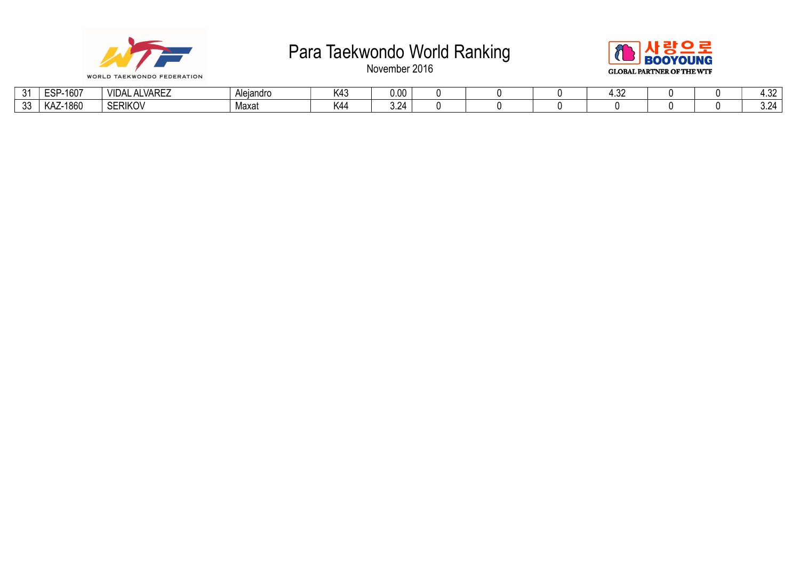



| $\sim$       | $-160^{-}$<br>$-$<br>–∪         | $\cdots$<br>. _<br><b>VARI</b><br>vu | Aleiandro | 111<br>- N4J | .uu                           |  |  |  | $\sim$ $\sim$<br>UL |
|--------------|---------------------------------|--------------------------------------|-----------|--------------|-------------------------------|--|--|--|---------------------|
| $\sim$<br>ഄഄ | 1860<br>$\mathbf{u}$<br>. INO 1 | SERIKOV                              | Maxat     | K44          | -<br>$\overline{\phantom{a}}$ |  |  |  | $\sim$<br>.         |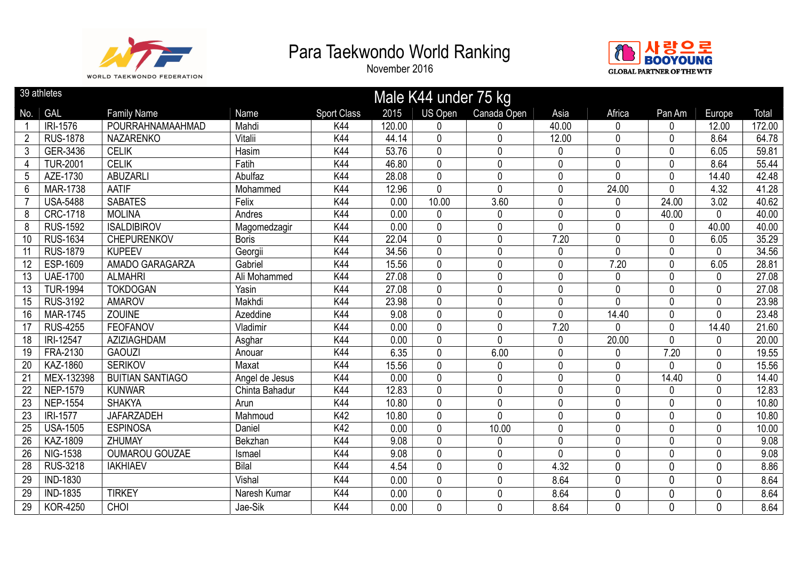



|                 | 39 athletes     |                         |                |                    |        | Male K44 under 75 kg |              |              |              |        |              |        |
|-----------------|-----------------|-------------------------|----------------|--------------------|--------|----------------------|--------------|--------------|--------------|--------|--------------|--------|
| No.             | GAL             | <b>Family Name</b>      | Name           | <b>Sport Class</b> | 2015   | <b>US Open</b>       | Canada Open  | Asia         | Africa       | Pan Am | Europe       | Total  |
|                 | IRI-1576        | POURRAHNAMAAHMAD        | Mahdi          | K44                | 120.00 | 0                    | O            | 40.00        | $\Omega$     | 0      | 12.00        | 172.00 |
| $\overline{2}$  | <b>RUS-1878</b> | <b>NAZARENKO</b>        | Vitalii        | K44                | 44.14  | 0                    | 0            | 12.00        | 0            | 0      | 8.64         | 64.78  |
| 3 <sup>1</sup>  | GER-3436        | <b>CELIK</b>            | Hasim          | K44                | 53.76  | 0                    | 0            | $\mathbf 0$  | 0            | 0      | 6.05         | 59.81  |
| $\overline{4}$  | <b>TUR-2001</b> | <b>CELIK</b>            | Fatih          | K44                | 46.80  | 0                    | $\mathbf 0$  | $\mathbf 0$  | $\mathbf{0}$ | 0      | 8.64         | 55.44  |
| 5               | AZE-1730        | <b>ABUZARLI</b>         | Abulfaz        | K44                | 28.08  | 0                    | 0            | $\mathbf 0$  | 0            | 0      | 14.40        | 42.48  |
| 6               | <b>MAR-1738</b> | AATIF                   | Mohammed       | K44                | 12.96  | $\mathbf 0$          | $\mathbf{0}$ | $\mathbf 0$  | 24.00        | 0      | 4.32         | 41.28  |
| $\overline{7}$  | <b>USA-5488</b> | <b>SABATES</b>          | Felix          | K44                | 0.00   | 10.00                | 3.60         | $\mathbf 0$  | 0            | 24.00  | 3.02         | 40.62  |
| 8               | CRC-1718        | <b>MOLINA</b>           | Andres         | K44                | 0.00   | 0                    | 0            | $\mathbf 0$  | $\mathbf{0}$ | 40.00  | 0            | 40.00  |
| 8               | <b>RUS-1592</b> | <b>ISALDIBIROV</b>      | Magomedzagir   | K44                | 0.00   | 0                    | $\mathbf 0$  | $\mathbf 0$  | 0            | 0      | 40.00        | 40.00  |
| 10 <sup>°</sup> | <b>RUS-1634</b> | <b>CHEPURENKOV</b>      | <b>Boris</b>   | K44                | 22.04  | 0                    | $\mathbf 0$  | 7.20         | 0            | 0      | 6.05         | 35.29  |
| 11              | <b>RUS-1879</b> | <b>KUPEEV</b>           | Georgii        | K44                | 34.56  | 0                    | $\mathbf 0$  | $\mathbf 0$  | $\mathbf{0}$ | 0      | $\mathbf{0}$ | 34.56  |
| $\overline{12}$ | ESP-1609        | AMADO GARAGARZA         | Gabriel        | K44                | 15.56  | 0                    | 0            | $\mathbf 0$  | 7.20         | 0      | 6.05         | 28.81  |
| 13              | <b>UAE-1700</b> | <b>ALMAHRI</b>          | Ali Mohammed   | K44                | 27.08  | 0                    | 0            | $\mathbf 0$  | 0            | 0      | 0            | 27.08  |
| $\overline{13}$ | <b>TUR-1994</b> | <b>TOKDOGAN</b>         | Yasin          | K44                | 27.08  | 0                    | 0            | $\mathbf 0$  | 0            | 0      | $\mathbf 0$  | 27.08  |
| 15              | <b>RUS-3192</b> | <b>AMAROV</b>           | Makhdi         | K44                | 23.98  | 0                    | 0            | $\mathbf 0$  | $\Omega$     | 0      | $\mathbf 0$  | 23.98  |
| 16              | <b>MAR-1745</b> | <b>ZOUINE</b>           | Azeddine       | K44                | 9.08   | 0                    | $\mathbf 0$  | $\mathbf{0}$ | 14.40        | 0      | $\mathbf{0}$ | 23.48  |
| 17              | <b>RUS-4255</b> | <b>FEOFANOV</b>         | Vladimir       | K44                | 0.00   | 0                    | 0            | 7.20         | N            | 0      | 14.40        | 21.60  |
| 18              | IRI-12547       | AZIZIAGHDAM             | Asghar         | K44                | 0.00   | 0                    | 0            | $\mathbf 0$  | 20.00        | 0      | $\mathbf 0$  | 20.00  |
| 19              | FRA-2130        | <b>GAOUZI</b>           | Anouar         | K44                | 6.35   | 0                    | 6.00         | $\mathbf 0$  | 0            | 7.20   | $\mathbf 0$  | 19.55  |
| 20              | <b>KAZ-1860</b> | <b>SERIKOV</b>          | Maxat          | K44                | 15.56  | 0                    | 0            | $\mathbf 0$  | $\Omega$     | 0      | $\mathbf 0$  | 15.56  |
| $\overline{21}$ | MEX-132398      | <b>BUITIAN SANTIAGO</b> | Angel de Jesus | K44                | 0.00   | 0                    | 0            | $\mathbf 0$  | 0            | 14.40  | $\mathbf 0$  | 14.40  |
| $\overline{22}$ | <b>NEP-1579</b> | <b>KUNWAR</b>           | Chinta Bahadur | K44                | 12.83  | 0                    | 0            | $\mathbf 0$  | 0            | 0      | $\mathbf 0$  | 12.83  |
| 23              | <b>NEP-1554</b> | <b>SHAKYA</b>           | Arun           | K44                | 10.80  | 0                    | 0            | $\mathbf 0$  | 0            | 0      | $\mathbf 0$  | 10.80  |
| 23              | IRI-1577        | <b>JAFARZADEH</b>       | Mahmoud        | K42                | 10.80  | 0                    | $\mathbf{0}$ | $\mathbf 0$  | 0            | 0      | $\mathbf 0$  | 10.80  |
| 25              | <b>USA-1505</b> | <b>ESPINOSA</b>         | Daniel         | K42                | 0.00   | 0                    | 10.00        | $\mathbf 0$  | 0            | 0      | $\mathbf{0}$ | 10.00  |
| $\overline{26}$ | KAZ-1809        | ZHUMAY                  | Bekzhan        | K44                | 9.08   | 0                    | 0            | $\mathbf 0$  | 0            | 0      | $\mathbf 0$  | 9.08   |
| 26              | <b>NIG-1538</b> | OUMAROU GOUZAE          | Ismael         | K44                | 9.08   | 0                    | 0            | $\mathbf 0$  | 0            | 0      | $\mathbf 0$  | 9.08   |
| $\overline{28}$ | <b>RUS-3218</b> | <b>IAKHIAEV</b>         | <b>Bilal</b>   | K44                | 4.54   | $\mathbf 0$          | $\mathbf 0$  | 4.32         | $\mathbf{0}$ | 0      | $\mathbf 0$  | 8.86   |
| 29              | <b>IND-1830</b> |                         | Vishal         | K44                | 0.00   | 0                    | $\mathbf 0$  | 8.64         | 0            | 0      | $\mathbf{0}$ | 8.64   |
| 29              | <b>IND-1835</b> | <b>TIRKEY</b>           | Naresh Kumar   | K44                | 0.00   | 0                    | 0            | 8.64         | 0            | 0      | $\mathbf 0$  | 8.64   |
| 29              | <b>KOR-4250</b> | CHOI                    | Jae-Sik        | K44                | 0.00   | 0                    | 0            | 8.64         | 0            | 0      | $\mathbf 0$  | 8.64   |
|                 |                 |                         |                |                    |        |                      |              |              |              |        |              |        |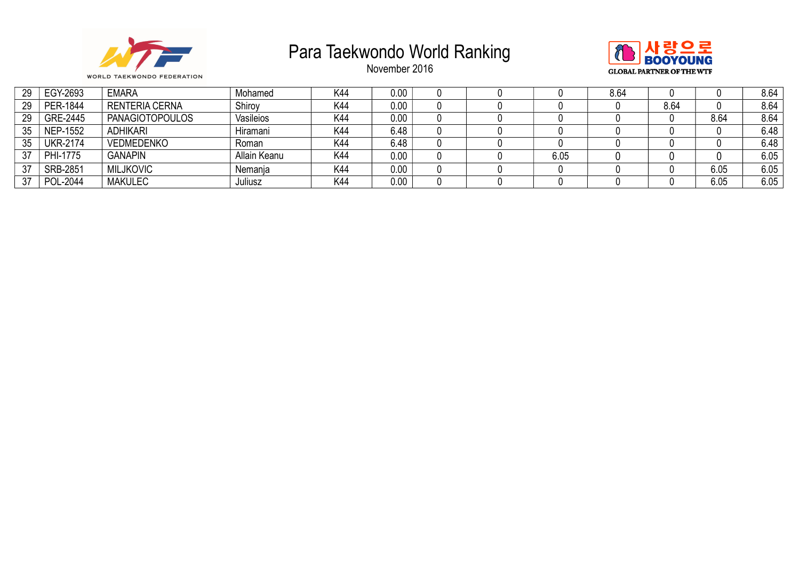



| 29 | EGY-2693        | <b>EMARA</b>           | Mohamed      | K44 | 0.00 |  |      | 8.64 |      |      | 8.64 |
|----|-----------------|------------------------|--------------|-----|------|--|------|------|------|------|------|
| 29 | PER-1844        | <b>RENTERIA CERNA</b>  | Shiroy       | K44 | 0.00 |  |      |      | 8.64 |      | 8.64 |
| 29 | GRE-2445        | <b>PANAGIOTOPOULOS</b> | Vasileios    | K44 | 0.00 |  |      |      |      | 8.64 | 8.64 |
| 35 | NEP-1552        | <b>ADHIKARI</b>        | Hiramani     | K44 | 6.48 |  |      |      |      |      | 6.48 |
| 35 | <b>UKR-2174</b> | <b>VEDMEDENKO</b>      | Roman        | K44 | 6.48 |  |      |      |      |      | 6.48 |
| 37 | PHI-1775        | <b>GANAPIN</b>         | Allain Keanu | K44 | 0.00 |  | 6.05 |      |      |      | 6.05 |
| 37 | <b>SRB-2851</b> | <b>MILJKOVIC</b>       | Nemanja      | K44 | 0.00 |  |      |      |      | 6.05 | 6.05 |
| 37 | POL-2044        | <b>MAKULEC</b>         | Juliusz      | K44 | 0.00 |  |      |      |      | 6.05 | 6.05 |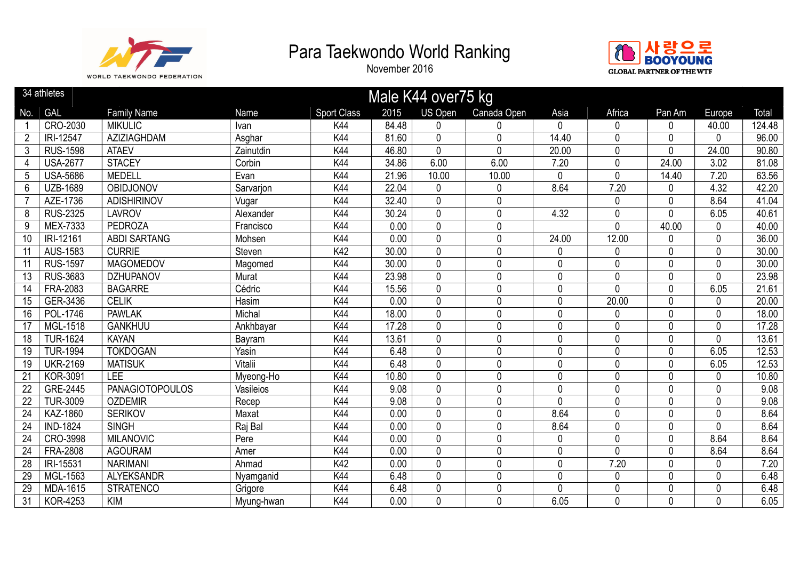



|                 | 34 athletes     |                        |            |                    |       | Male K44 over75 kg |                |              |                |             |              |        |
|-----------------|-----------------|------------------------|------------|--------------------|-------|--------------------|----------------|--------------|----------------|-------------|--------------|--------|
| No.             | <b>GAL</b>      | <b>Family Name</b>     | Name       | <b>Sport Class</b> | 2015  | <b>US Open</b>     | Canada Open    | Asia         | Africa         | Pan Am      | Europe       | Total  |
|                 | CRO-2030        | <b>MIKULIC</b>         | Ivan       | K44                | 84.48 | $\Omega$           | 0              | $\mathbf{0}$ | 0              | 0           | 40.00        | 124.48 |
| $\overline{2}$  | IRI-12547       | AZIZIAGHDAM            | Asghar     | K44                | 81.60 | 0                  | 0              | 14.40        | 0              | 0           | 0            | 96.00  |
| $\mathfrak{Z}$  | <b>RUS-1598</b> | <b>ATAEV</b>           | Zainutdin  | <b>K44</b>         | 46.80 | $\overline{0}$     | $\overline{0}$ | 20.00        | $\overline{0}$ | 0           | 24.00        | 90.80  |
| 4               | <b>USA-2677</b> | <b>STACEY</b>          | Corbin     | K44                | 34.86 | 6.00               | 6.00           | 7.20         | 0              | 24.00       | 3.02         | 81.08  |
| $5\phantom{.0}$ | <b>USA-5686</b> | <b>MEDELL</b>          | Evan       | K44                | 21.96 | 10.00              | 10.00          | 0            | 0              | 14.40       | 7.20         | 63.56  |
| 6               | <b>UZB-1689</b> | OBIDJONOV              | Sarvarion  | K44                | 22.04 | 0                  | 0              | 8.64         | 7.20           | 0           | 4.32         | 42.20  |
|                 | AZE-1736        | <b>ADISHIRINOV</b>     | Vugar      | K44                | 32.40 | $\mathbf 0$        | 0              |              | 0              | $\mathbf 0$ | 8.64         | 41.04  |
| 8               | <b>RUS-2325</b> | <b>LAVROV</b>          | Alexander  | K44                | 30.24 | 0                  | 0              | 4.32         | 0              | 0           | 6.05         | 40.61  |
| 9               | MEX-7333        | PEDROZA                | Francisco  | K44                | 0.00  | 0                  | 0              |              | 0              | 40.00       | $\mathbf{0}$ | 40.00  |
| 10              | IRI-12161       | <b>ABDI SARTANG</b>    | Mohsen     | K44                | 0.00  | $\mathbf 0$        | 0              | 24.00        | 12.00          | 0           | $\mathbf{0}$ | 36.00  |
| 11              | <b>AUS-1583</b> | <b>CURRIE</b>          | Steven     | K42                | 30.00 | $\mathbf 0$        | 0              | 0            | 0              | $\mathbf 0$ | $\mathbf 0$  | 30.00  |
| 11              | <b>RUS-1597</b> | <b>MAGOMEDOV</b>       | Magomed    | K44                | 30.00 | 0                  | 0              | 0            | 0              | $\mathbf 0$ | $\mathbf 0$  | 30.00  |
| 13              | <b>RUS-3683</b> | <b>DZHUPANOV</b>       | Murat      | K44                | 23.98 | 0                  | 0              | 0            | $\mathbf{0}$   | $\mathbf 0$ | $\mathbf 0$  | 23.98  |
| 14              | FRA-2083        | <b>BAGARRE</b>         | Cédric     | K44                | 15.56 | $\mathbf 0$        | 0              | 0            | $\Omega$       | 0           | 6.05         | 21.61  |
| 15              | GER-3436        | <b>CELIK</b>           | Hasim      | K44                | 0.00  | 0                  | 0              | 0            | 20.00          | 0           | $\mathbf 0$  | 20.00  |
| 16              | POL-1746        | <b>PAWLAK</b>          | Michal     | K44                | 18.00 | 0                  | 0              | 0            | 0              | $\mathbf 0$ | $\mathbf{0}$ | 18.00  |
| 17              | MGL-1518        | <b>GANKHUU</b>         | Ankhbayar  | <b>K44</b>         | 17.28 | 0                  | 0              | 0            | 0              | 0           | $\mathbf 0$  | 17.28  |
| 18              | <b>TUR-1624</b> | <b>KAYAN</b>           | Bayram     | K44                | 13.61 | $\Omega$           | 0              | 0            | 0              | 0           | $\mathbf{0}$ | 13.61  |
| 19              | <b>TUR-1994</b> | <b>TOKDOGAN</b>        | Yasin      | K44                | 6.48  | 0                  | 0              | 0            | 0              | 0           | 6.05         | 12.53  |
| 19              | <b>UKR-2169</b> | <b>MATISUK</b>         | Vitalii    | K44                | 6.48  | $\mathbf 0$        | 0              | 0            | 0              | 0           | 6.05         | 12.53  |
| 21              | <b>KOR-3091</b> | LEE                    | Myeong-Ho  | K44                | 10.80 | $\mathbf 0$        | 0              | 0            | 0              | 0           | $\mathbf 0$  | 10.80  |
| 22              | GRE-2445        | <b>PANAGIOTOPOULOS</b> | Vasileios  | K44                | 9.08  | 0                  | 0              | 0            | 0              | $\mathbf 0$ | $\mathbf{0}$ | 9.08   |
| 22              | <b>TUR-3009</b> | <b>OZDEMIR</b>         | Recep      | K44                | 9.08  | 0                  | 0              | 0            | 0              | 0           | $\mathbf 0$  | 9.08   |
| 24              | <b>KAZ-1860</b> | <b>SERIKOV</b>         | Maxat      | K44                | 0.00  | 0                  | 0              | 8.64         | 0              | $\mathbf 0$ | $\mathbf 0$  | 8.64   |
| 24              | <b>IND-1824</b> | <b>SINGH</b>           | Raj Bal    | K44                | 0.00  | 0                  | 0              | 8.64         | 0              | $\mathbf 0$ | $\mathbf 0$  | 8.64   |
| 24              | CRO-3998        | <b>MILANOVIC</b>       | Pere       | K44                | 0.00  | 0                  | 0              | 0            | $\Omega$       | $\mathbf 0$ | 8.64         | 8.64   |
| $\overline{24}$ | <b>FRA-2808</b> | <b>AGOURAM</b>         | Amer       | K44                | 0.00  | $\mathbf 0$        | 0              | 0            | 0              | 0           | 8.64         | 8.64   |
| 28              | IRI-15531       | <b>NARIMANI</b>        | Ahmad      | K42                | 0.00  | 0                  | 0              | 0            | 7.20           | 0           | $\mathbf{0}$ | 7.20   |
| 29              | MGL-1563        | <b>ALYEKSANDR</b>      | Nyamganid  | K44                | 6.48  | 0                  | 0              | 0            | 0              | 0           | $\mathbf 0$  | 6.48   |
| 29              | MDA-1615        | <b>STRATENCO</b>       | Grigore    | K44                | 6.48  | $\mathbf 0$        | 0              | 0            | 0              | 0           | $\mathbf 0$  | 6.48   |
| 31              | <b>KOR-4253</b> | <b>KIM</b>             | Myung-hwan | K44                | 0.00  | $\mathbf 0$        | 0              | 6.05         | 0              | $\mathbf 0$ | $\mathbf 0$  | 6.05   |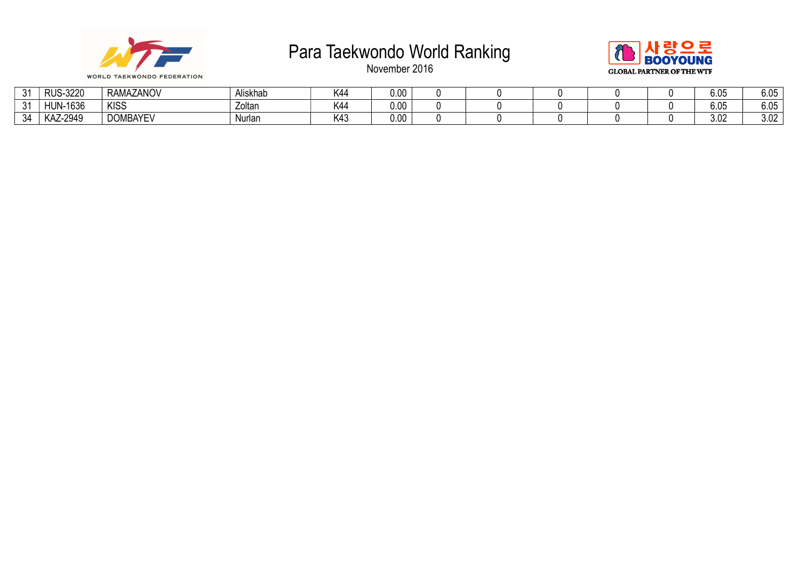



| $\sim$<br>. پ | $-3220$<br><b>RUS</b>       | RAMAZANOV       | Niskhab | K44 | 0.OC     |  |  | $\sim$ $\sim$ $\sim$<br>ხ.∪5 | 6.05 |
|---------------|-----------------------------|-----------------|---------|-----|----------|--|--|------------------------------|------|
| $\sim$<br>ັບ  | <b>I-1636</b><br><b>HUN</b> | <b>KISS</b>     | Zoltan  | K44 | $0.00\,$ |  |  | $\sim$ $\sim$ $\sim$<br>ხ.∪5 | 6.05 |
| 34            | KAZ-2949                    | <b>DOMBAYEV</b> | Nurlar  | K43 | 0.00     |  |  | 3.02                         | 3.02 |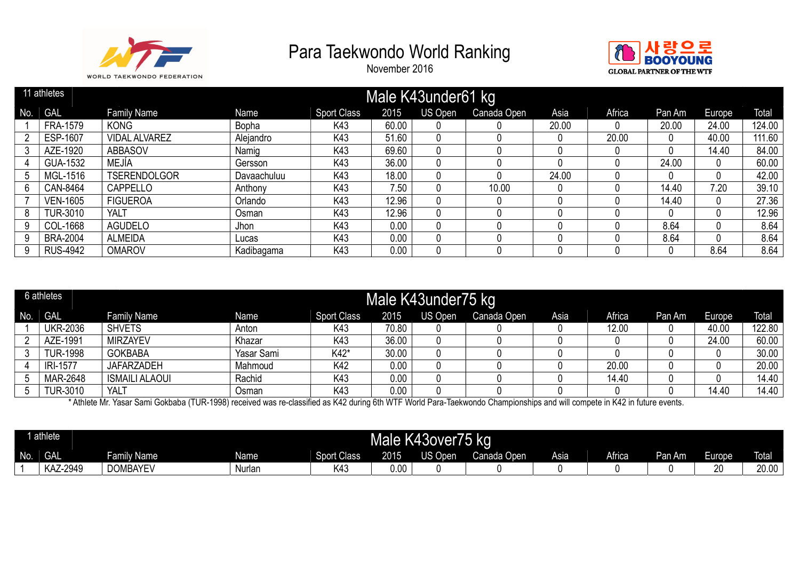

November 2016



|     | 11 athletes     |                      |             |                    |       | Male K43under61 kg |             |       |        |        |        |        |
|-----|-----------------|----------------------|-------------|--------------------|-------|--------------------|-------------|-------|--------|--------|--------|--------|
| No. | GAL             | <b>Family Name</b>   | Name        | <b>Sport Class</b> | 2015  | US Open            | Canada Open | Asia  | Africa | Pan Am | Europe | Total  |
|     | <b>FRA-1579</b> | <b>KONG</b>          | Bopha       | K43                | 60.00 |                    |             | 20.00 |        | 20.00  | 24.00  | 124.00 |
|     | <b>ESP-1607</b> | <b>VIDAL ALVAREZ</b> | Alejandro   | K43                | 51.60 |                    |             |       | 20.00  | 0      | 40.00  | 111.60 |
|     | AZE-1920        | <b>ABBASOV</b>       | Namig       | K43                | 69.60 |                    |             |       |        |        | 14.40  | 84.00  |
|     | <b>GUA-1532</b> | MEJÍA                | Gersson     | K43                | 36.00 |                    |             |       |        | 24.00  |        | 60.00  |
|     | MGL-1516        | <b>TSERENDOLGOR</b>  | Davaachuluu | K43                | 18.00 |                    |             | 24.00 |        |        |        | 42.00  |
| 6   | CAN-8464        | <b>CAPPELLO</b>      | Anthony     | K43                | 7.50  |                    | 10.00       |       |        | 14.40  | 7.20   | 39.10  |
|     | <b>VEN-1605</b> | <b>FIGUEROA</b>      | Orlando     | K43                | 12.96 |                    |             |       |        | 14.40  |        | 27.36  |
| 8   | <b>TUR-3010</b> | YALT                 | Osman       | K43                | 12.96 |                    |             |       |        | 0      |        | 12.96  |
| 9   | COL-1668        | <b>AGUDELO</b>       | Jhon        | K43                | 0.00  |                    |             |       |        | 8.64   |        | 8.64   |
| 9   | <b>BRA-2004</b> | <b>ALMEIDA</b>       | Lucas       | K43                | 0.00  |                    |             |       |        | 8.64   |        | 8.64   |
| 9   | <b>RUS-4942</b> | <b>OMAROV</b>        | Kadibagama  | K43                | 0.00  |                    |             |       |        |        | 8.64   | 8.64   |

|     | 6 athletes      |                       |            |                    |       | Male K43under75 kg |             |      |        |        |        |        |
|-----|-----------------|-----------------------|------------|--------------------|-------|--------------------|-------------|------|--------|--------|--------|--------|
| No. | <b>GAL</b>      | <b>Family Name</b>    | Name       | <b>Sport Class</b> | 2015  | US Open            | Canada Open | Asia | Africa | Pan Am | Europe | Total  |
|     | <b>UKR-2036</b> | <b>SHVETS</b>         | Anton      | K43                | 70.80 |                    |             |      | 12.00  |        | 40.00  | 122.80 |
|     | AZE-1991        | <b>MIRZAYEV</b>       | Khazar     | K43                | 36.00 |                    |             |      |        |        | 24.00  | 60.00  |
|     | <b>TUR-1998</b> | <b>GOKBABA</b>        | Yasar Sami | K42*               | 30.00 |                    |             |      |        |        |        | 30.00  |
|     | IRI-1577        | <b>JAFARZADEH</b>     | Mahmoud    | K42                | 0.00  |                    |             |      | 20.00  |        |        | 20.00  |
|     | MAR-2648        | <b>ISMAILI ALAOUI</b> | Rachid     | K43                | 0.00  |                    |             |      | 14.40  |        |        | 14.40  |
|     | <b>TUR-3010</b> | YALT                  | Osman      | K43                | 0.00  |                    |             |      |        |        | 14.40  | 14.40  |

\* Athlete Mr. Yasar Sami Gokbaba (TUR-1998) received was re-classified as K42 during 6th WTF World Para-Taekwondo Championships and will compete in K42 in future events.

|     | 1 athlete       |                    |             |                    | Mald<br>$\mathbf{d}$<br>- | K43over75             | ka                 |      |               |               |    |              |
|-----|-----------------|--------------------|-------------|--------------------|---------------------------|-----------------------|--------------------|------|---------------|---------------|----|--------------|
| No. | <b>GAL</b>      | <b>Family Name</b> | <b>Name</b> | <b>Sport Class</b> | 2015                      | ח צו ו<br><b>Joer</b> | <b>Conada Open</b> | Asia | <b>Africa</b> | <b>Pan Am</b> | T  | <b>Total</b> |
|     | <b>KAZ-2949</b> | <b>DOMBAYEV</b>    | Nurlan      | K43                | 0.00                      |                       |                    |      |               |               | 20 | 20.00        |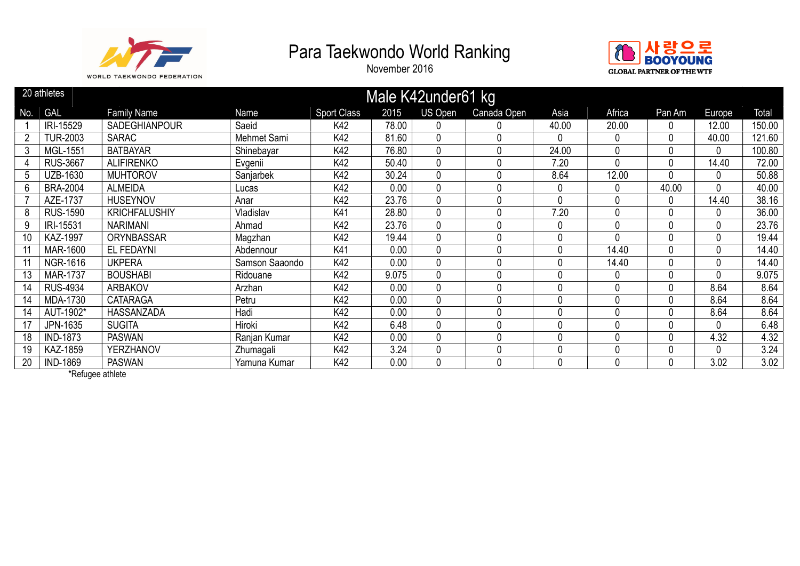

November 2016



|                | 20 athletes     |                      |                |                    |       | Male K42under61 kg |             |       |              |        |                |        |
|----------------|-----------------|----------------------|----------------|--------------------|-------|--------------------|-------------|-------|--------------|--------|----------------|--------|
| No.            | <b>GAL</b>      | <b>Family Name</b>   | Name           | <b>Sport Class</b> | 2015  | US Open            | Canada Open | Asia  | Africa       | Pan Am | Europe         | Total  |
|                | IRI-15529       | <b>SADEGHIANPOUR</b> | Saeid          | K42                | 78.00 | 0                  |             | 40.00 | 20.00        | 0      | 12.00          | 150.00 |
| $\overline{2}$ | <b>TUR-2003</b> | <b>SARAC</b>         | Mehmet Sami    | K42                | 81.60 | $\mathbf{0}$       | 0           | 0     | 0            | 0      | 40.00          | 121.60 |
| 3              | <b>MGL-1551</b> | <b>BATBAYAR</b>      | Shinebayar     | K42                | 76.80 | 0                  | 0           | 24.00 | 0            | 0      | $\Omega$       | 100.80 |
|                | <b>RUS-3667</b> | <b>ALIFIRENKO</b>    | Evgenii        | K42                | 50.40 | 0                  | 0           | 7.20  | $\Omega$     | 0      | 14.40          | 72.00  |
| 5              | UZB-1630        | <b>MUHTOROV</b>      | Sanjarbek      | K42                | 30.24 | $\mathbf{0}$       | 0           | 8.64  | 12.00        | 0      | $\mathbf{0}$   | 50.88  |
| 6              | <b>BRA-2004</b> | <b>ALMEIDA</b>       | Lucas          | K42                | 0.00  | 0                  | 0           | 0     | 0            | 40.00  | 0              | 40.00  |
|                | AZE-1737        | <b>HUSEYNOV</b>      | Anar           | K42                | 23.76 | $\mathbf{0}$       | 0           | 0     | 0            | 0      | 14.40          | 38.16  |
| 8              | <b>RUS-1590</b> | <b>KRICHFALUSHIY</b> | Vladislav      | K41                | 28.80 | 0                  |             | 7.20  | 0            | 0      | $\Omega$       | 36.00  |
| 9              | IRI-15531       | <b>NARIMANI</b>      | Ahmad          | K42                | 23.76 | 0                  | $\Omega$    | 0     | $\Omega$     | 0      | $\overline{0}$ | 23.76  |
| 10             | <b>KAZ-1997</b> | <b>ORYNBASSAR</b>    | Magzhan        | K42                | 19.44 | 0                  | 0           | 0     | 0            | 0      | 0              | 19.44  |
| 11             | <b>MAR-1600</b> | EL FEDAYNI           | Abdennour      | K41                | 0.00  | 0                  | 0           | 0     | 14.40        | 0      | 0              | 14.40  |
|                | NGR-1616        | <b>UKPERA</b>        | Samson Saaondo | K42                | 0.00  | 0                  | 0           | 0     | 14.40        | 0      | $\mathbf 0$    | 14.40  |
| 13             | <b>MAR-1737</b> | <b>BOUSHABI</b>      | Ridouane       | K42                | 9.075 | 0                  | 0           | 0     | 0            | 0      | $\mathbf 0$    | 9.075  |
| 14             | <b>RUS-4934</b> | ARBAKOV              | Arzhan         | K42                | 0.00  | 0                  |             | 0     | 0            | 0      | 8.64           | 8.64   |
| 14             | MDA-1730        | <b>CATARAGA</b>      | Petru          | K42                | 0.00  | 0                  | 0           | 0     | $\Omega$     | 0      | 8.64           | 8.64   |
| 14             | AUT-1902*       | HASSANZADA           | Hadi           | K42                | 0.00  | $\mathbf{0}$       | 0           | 0     | $\Omega$     | 0      | 8.64           | 8.64   |
| 17             | JPN-1635        | <b>SUGITA</b>        | Hiroki         | K42                | 6.48  | 0                  | 0           | 0     | $\Omega$     | 0      | $\mathbf 0$    | 6.48   |
| 18             | <b>IND-1873</b> | <b>PASWAN</b>        | Ranjan Kumar   | K42                | 0.00  | $\mathbf{0}$       | O           | 0     | <sup>0</sup> | 0      | 4.32           | 4.32   |
| 19             | KAZ-1859        | <b>YERZHANOV</b>     | Zhumagali      | K42                | 3.24  | 0                  | 0           | 0     | 0            | 0      | 0              | 3.24   |
| 20             | <b>IND-1869</b> | <b>PASWAN</b>        | Yamuna Kumar   | K42                | 0.00  | 0                  | 0           | 0     | 0            | 0      | 3.02           | 3.02   |

\*Refugee athlete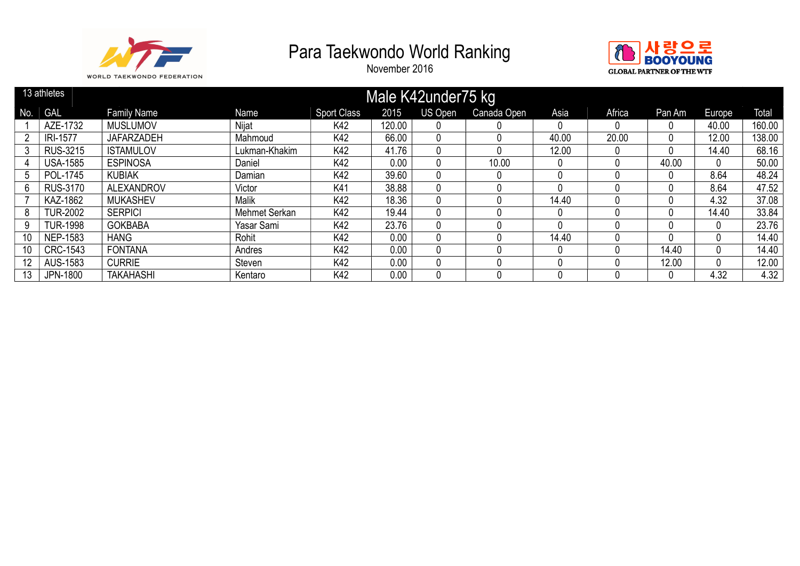



|                 | 13 athletes     |                    |               |                    |        | Male K42under75 kg |             |       |        |        |          |        |
|-----------------|-----------------|--------------------|---------------|--------------------|--------|--------------------|-------------|-------|--------|--------|----------|--------|
| No.             | <b>GAL</b>      | <b>Family Name</b> | Name          | <b>Sport Class</b> | 2015   | US Open            | Canada Open | Asia  | Africa | Pan Am | Europe   | Total  |
|                 | AZE-1732        | <b>MUSLUMOV</b>    | Nijat         | K42                | 120.00 |                    |             |       |        |        | 40.00    | 160.00 |
| 2               | <b>IRI-1577</b> | <b>JAFARZADEH</b>  | Mahmoud       | K42                | 66.00  |                    | 0           | 40.00 | 20.00  | 0      | 12.00    | 138.00 |
|                 | <b>RUS-3215</b> | <b>ISTAMULOV</b>   | Lukman-Khakim | K42                | 41.76  |                    |             | 12.00 |        | 0      | 14.40    | 68.16  |
|                 | <b>USA-1585</b> | <b>ESPINOSA</b>    | Daniel        | K42                | 0.00   |                    | 10.00       |       |        | 40.00  |          | 50.00  |
| 5               | POL-1745        | <b>KUBIAK</b>      | Damian        | K42                | 39.60  |                    | 0           | -0    |        | 0      | 8.64     | 48.24  |
| 6               | <b>RUS-3170</b> | <b>ALEXANDROV</b>  | Victor        | K41                | 38.88  |                    |             |       |        | 0      | 8.64     | 47.52  |
|                 | KAZ-1862        | <b>MUKASHEV</b>    | Malik         | K42                | 18.36  |                    |             | 14.40 |        | 0      | 4.32     | 37.08  |
| 8               | <b>TUR-2002</b> | <b>SERPICI</b>     | Mehmet Serkan | K42                | 19.44  |                    |             |       |        |        | 14.40    | 33.84  |
| 9               | <b>TUR-1998</b> | <b>GOKBABA</b>     | Yasar Sami    | K42                | 23.76  |                    |             |       |        |        |          | 23.76  |
| 10 <sup>°</sup> | <b>NEP-1583</b> | <b>HANG</b>        | Rohit         | K42                | 0.00   |                    |             | 14.40 |        | 0      | $\Omega$ | 14.40  |
| 10              | <b>CRC-1543</b> | <b>FONTANA</b>     | Andres        | K42                | 0.00   |                    |             |       |        | 14.40  |          | 14.40  |
| 12              | AUS-1583        | <b>CURRIE</b>      | Steven        | K42                | 0.00   |                    |             |       |        | 12.00  |          | 12.00  |
| 13              | <b>JPN-1800</b> | <b>TAKAHASHI</b>   | Kentaro       | K42                | 0.00   |                    |             |       |        |        | 4.32     | 4.32   |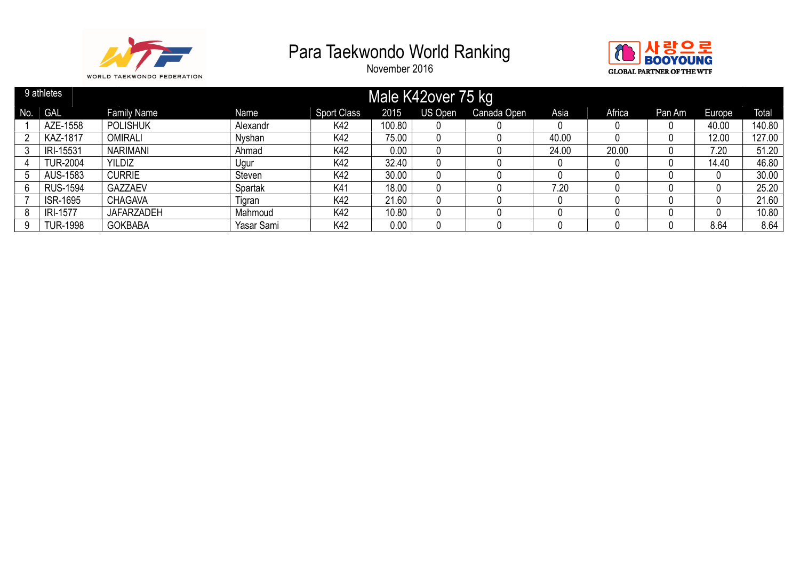



|     | 9 athletes      |                    |            |                    |        | Male K42over 75 kg |             |       |        |        |        |              |
|-----|-----------------|--------------------|------------|--------------------|--------|--------------------|-------------|-------|--------|--------|--------|--------------|
| No. | <b>GAL</b>      | <b>Family Name</b> | Name       | <b>Sport Class</b> | 2015   | US Open            | Canada Open | Asia  | Africa | Pan Am | Europe | <b>Total</b> |
|     | AZE-1558        | <b>POLISHUK</b>    | Alexandr   | K42                | 100.80 |                    |             |       |        |        | 40.00  | 140.80       |
|     | <b>KAZ-1817</b> | <b>OMIRALI</b>     | Nyshan     | K42                | 75.00  |                    |             | 40.00 |        |        | 12.00  | 127.00       |
|     | IRI-15531       | <b>NARIMANI</b>    | Ahmad      | K42                | 0.00   |                    |             | 24.00 | 20.00  |        | 7.20   | 51.20        |
|     | <b>TUR-2004</b> | <b>YILDIZ</b>      | Ugur       | K42                | 32.40  |                    |             |       |        |        | 14.40  | 46.80        |
|     | AUS-1583        | <b>CURRIE</b>      | Steven     | K42                | 30.00  |                    |             |       |        |        |        | 30.00        |
| 6   | <b>RUS-1594</b> | GAZZAEV            | Spartak    | K41                | 18.00  |                    |             | 7.20  |        |        |        | 25.20        |
|     | <b>ISR-1695</b> | <b>CHAGAVA</b>     | Tigran     | K42                | 21.60  |                    |             |       |        |        |        | 21.60        |
| 8   | <b>IRI-1577</b> | <b>JAFARZADEH</b>  | Mahmoud    | K42                | 10.80  |                    |             |       |        |        |        | 10.80        |
|     | <b>TUR-1998</b> | <b>GOKBABA</b>     | Yasar Sami | K42                | 0.00   |                    |             |       |        |        | 8.64   | 8.64         |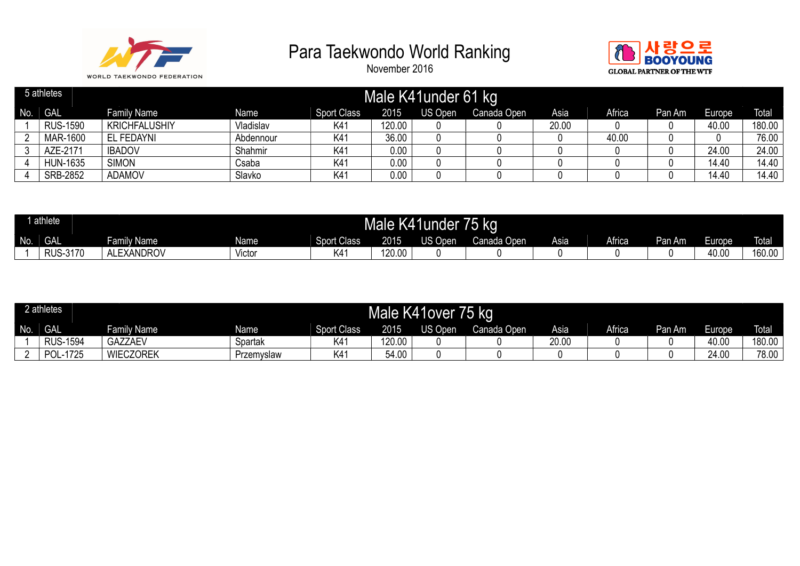



|     | 5 athletes      |                      |           |                    |        | Male K41 under 61 kg |             |       |        |        |        |              |
|-----|-----------------|----------------------|-----------|--------------------|--------|----------------------|-------------|-------|--------|--------|--------|--------------|
| No. | <b>GAL</b>      | <b>Family Name</b>   | Name      | <b>Sport Class</b> | 2015   | US Open              | Canada Open | Asia  | Africa | Pan Am | Europe | <b>Total</b> |
|     | <b>RUS-1590</b> | <b>KRICHFALUSHIY</b> | Vladislav | K41                | 120.00 |                      |             | 20.00 |        |        | 40.00  | 180.00       |
|     | MAR-1600        | EL FEDAYNI           | Abdennour | K4 <sup>-</sup>    | 36.00  |                      |             |       | 40.00  |        |        | 76.00        |
|     | AZE-2171        | <b>IBADOV</b>        | Shahmir   | K4 <sup>-</sup>    | 0.00   |                      |             |       |        |        | 24.00  | 24.00        |
|     | <b>HUN-1635</b> | <b>SIMON</b>         | Csaba     | K4 <sup>-</sup>    | 0.00   |                      |             |       |        |        | 14.40  | 14.40        |
|     | <b>SRB-2852</b> | <b>ADAMOV</b>        | Slavko    | K41                | 0.00   |                      |             |       |        |        | 14.40  | 14.40        |

|     | athlete         |                        |        |                    | K4h<br>Male | Iunder       | 75 kg       |      |               |          |                                          |              |
|-----|-----------------|------------------------|--------|--------------------|-------------|--------------|-------------|------|---------------|----------|------------------------------------------|--------------|
| No. | <b>GAL</b>      | amily Name             | Name   | <b>Sport Class</b> | 2015        | US O<br>)pen | Canada Open | Asia | <b>Africa</b> | Pan Am I | $\overline{\phantom{a}}$<br>Europe<br>-- | <b>Total</b> |
|     | <b>RUS-3170</b> | <b>_xANDROV</b><br>AL. | √ıctor | <b>17</b> A<br>K4  | 120.00      |              |             |      |               |          | 40.00                                    | 160.00       |

|     | 2 athletes      |                  |            |                    |        | Male K41over | 75 kg       |       |        |        |        |              |
|-----|-----------------|------------------|------------|--------------------|--------|--------------|-------------|-------|--------|--------|--------|--------------|
| No. | <b>GAL</b>      | Family Name      | Name       | <b>Sport Class</b> | 2015   | US Open      | Canada Open | Asia  | Africa | Pan Am | Europe | <b>Total</b> |
|     | <b>RUS-1594</b> | <b>GAZZAEV</b>   | Spartak    | K41                | 120.00 |              |             | 20.00 |        |        | 40.00  | 180.00       |
|     | POL-1725        | <b>WIECZOREK</b> | Przemyslaw | K41                | 54.00  |              |             |       |        |        | 24.00  | 78.00        |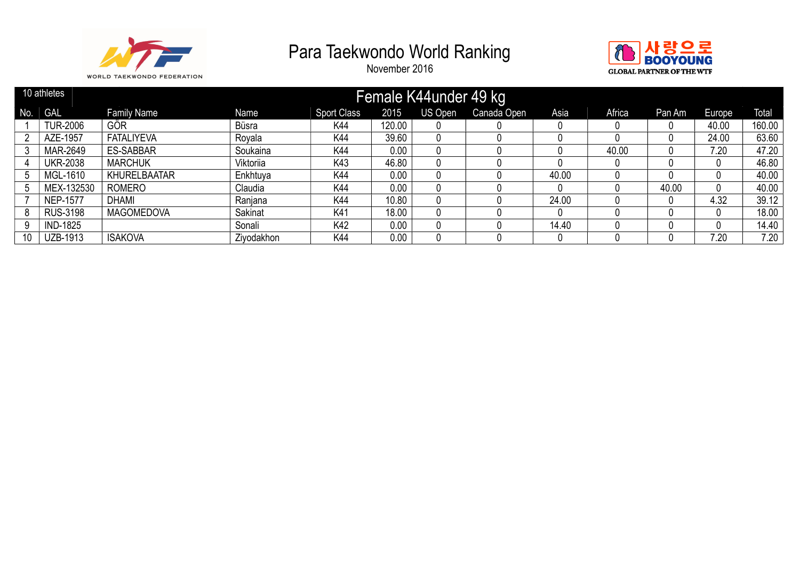



|     | 10 athletes     |                     |            |                    |          | Female K44under 49 kg |             |       |        |        |        |              |
|-----|-----------------|---------------------|------------|--------------------|----------|-----------------------|-------------|-------|--------|--------|--------|--------------|
| No. | <b>GAL</b>      | <b>Family Name</b>  | Name       | <b>Sport Class</b> | 2015     | US Open               | Canada Open | Asia  | Africa | Pan Am | Europe | <b>Total</b> |
|     | <b>TUR-2006</b> | GÖR                 | Büsra      | K44                | 120.00   |                       |             |       |        |        | 40.00  | 160.00       |
|     | AZE-1957        | <b>FATALIYEVA</b>   | Rovala     | K44                | 39.60    |                       |             |       |        |        | 24.00  | 63.60        |
|     | MAR-2649        | <b>ES-SABBAR</b>    | Soukaina   | K44                | 0.00     |                       |             |       | 40.00  |        | 7.20   | 47.20        |
|     | <b>UKR-2038</b> | <b>MARCHUK</b>      | Viktoriia  | K43                | 46.80    |                       |             |       |        |        |        | 46.80        |
|     | MGL-1610        | <b>KHURELBAATAR</b> | Enkhtuya   | K44                | 0.00     |                       |             | 40.00 |        |        |        | 40.00        |
|     | MEX-132530      | <b>ROMERO</b>       | Claudia    | K44                | 0.00     |                       |             |       |        | 40.00  |        | 40.00        |
|     | <b>NEP-1577</b> | <b>DHAMI</b>        | Ranjana    | K44                | 10.80    |                       |             | 24.00 |        | 0      | 4.32   | 39.12        |
| 8   | <b>RUS-3198</b> | <b>MAGOMEDOVA</b>   | Sakinat    | K41                | 18.00    |                       |             |       |        |        |        | 18.00        |
| 9   | <b>IND-1825</b> |                     | Sonali     | K42                | 0.00     |                       |             | 14.40 |        |        |        | 14.40        |
| 10  | UZB-1913        | <b>ISAKOVA</b>      | Ziyodakhon | K44                | $0.00\,$ |                       |             |       |        |        | 7.20   | 7.20         |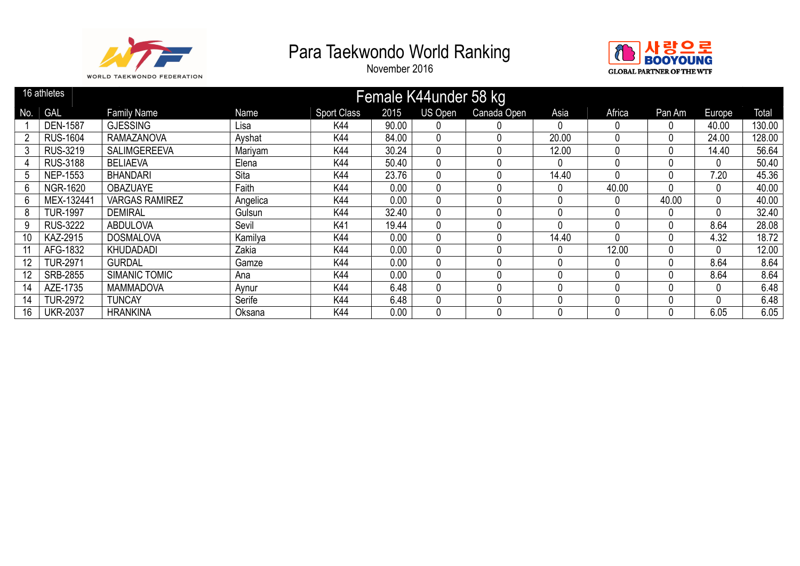



|                 | 16 athletes     |                       |          |                    |       | Female K44under 58 kg |             |              |          |        |          |        |
|-----------------|-----------------|-----------------------|----------|--------------------|-------|-----------------------|-------------|--------------|----------|--------|----------|--------|
| No.             | <b>GAL</b>      | <b>Family Name</b>    | Name     | <b>Sport Class</b> | 2015  | US Open               | Canada Open | Asia         | Africa   | Pan Am | Europe   | Total  |
|                 | <b>DEN-1587</b> | <b>GJESSING</b>       | Lisa     | K44                | 90.00 |                       | 0           | 0            |          | 0      | 40.00    | 130.00 |
|                 | <b>RUS-1604</b> | <b>RAMAZANOVA</b>     | Ayshat   | K44                | 84.00 |                       | 0           | 20.00        |          | 0      | 24.00    | 128.00 |
| 3               | <b>RUS-3219</b> | <b>SALIMGEREEVA</b>   | Mariyam  | K44                | 30.24 |                       | 0           | 12.00        |          | 0      | 14.40    | 56.64  |
|                 | <b>RUS-3188</b> | <b>BELIAEVA</b>       | Elena    | K44                | 50.40 |                       | 0           | <sup>0</sup> |          | 0      | $\Omega$ | 50.40  |
|                 | <b>NEP-1553</b> | <b>BHANDARI</b>       | Sita     | K44                | 23.76 |                       | 0           | 14.40        |          | 0      | 7.20     | 45.36  |
| 6               | <b>NGR-1620</b> | <b>OBAZUAYE</b>       | Faith    | K44                | 0.00  |                       | 0           | 0            | 40.00    | 0      | $\Omega$ | 40.00  |
| 6               | MEX-132441      | <b>VARGAS RAMIREZ</b> | Angelica | K44                | 0.00  |                       | 0           |              | $\Omega$ | 40.00  | 0        | 40.00  |
| 8               | <b>TUR-1997</b> | <b>DEMIRAL</b>        | Gulsun   | K44                | 32.40 |                       | 0           |              |          | 0      | $\Omega$ | 32.40  |
| 9               | <b>RUS-3222</b> | <b>ABDULOVA</b>       | Sevil    | K41                | 19.44 |                       | 0           |              |          | 0      | 8.64     | 28.08  |
| 10 <sup>°</sup> | KAZ-2915        | <b>DOSMALOVA</b>      | Kamilya  | K44                | 0.00  |                       | 0           | 14.40        |          | 0      | 4.32     | 18.72  |
|                 | AFG-1832        | KHUDADADI             | Zakia    | K44                | 0.00  |                       | 0           | 0            | 12.00    | 0      | $\Omega$ | 12.00  |
| 12              | <b>TUR-2971</b> | <b>GURDAL</b>         | Gamze    | K44                | 0.00  |                       | 0           |              |          | 0      | 8.64     | 8.64   |
| 12              | SRB-2855        | <b>SIMANIC TOMIC</b>  | Ana      | K44                | 0.00  |                       | 0           |              |          | 0      | 8.64     | 8.64   |
| 14              | AZE-1735        | <b>MAMMADOVA</b>      | Aynur    | K44                | 6.48  |                       | 0           |              |          | 0      | $\Omega$ | 6.48   |
| 14              | <b>TUR-2972</b> | <b>TUNCAY</b>         | Serife   | K44                | 6.48  |                       | 0           |              |          | 0      | $\Omega$ | 6.48   |
| 16              | <b>UKR-2037</b> | <b>HRANKINA</b>       | Oksana   | K44                | 0.00  |                       | 0           |              |          | 0      | 6.05     | 6.05   |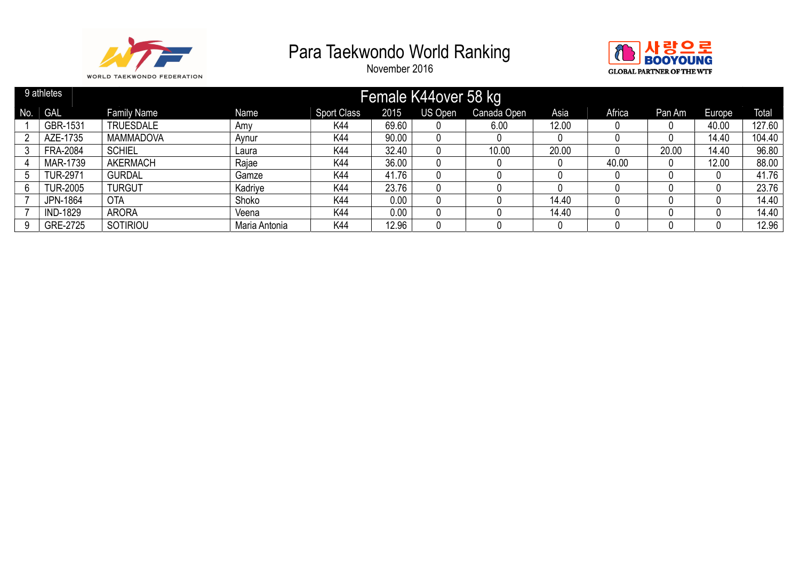



|     | 9 athletes      |                    |               |                    |       | Female K44over 58 kg |             |       |        |        |        |              |
|-----|-----------------|--------------------|---------------|--------------------|-------|----------------------|-------------|-------|--------|--------|--------|--------------|
| No. | <b>GAL</b>      | <b>Family Name</b> | Name          | <b>Sport Class</b> | 2015  | US Open              | Canada Open | Asia  | Africa | Pan Am | Europe | <b>Total</b> |
|     | GBR-1531        | <b>TRUESDALE</b>   | Amv           | K44                | 69.60 |                      | 6.00        | 12.00 |        |        | 40.00  | 127.60       |
|     | AZE-1735        | <b>MAMMADOVA</b>   | Aynur         | K44                | 90.00 |                      |             |       |        |        | 14.40  | 104.40       |
|     | <b>FRA-2084</b> | <b>SCHIEL</b>      | Laura         | K44                | 32.40 | 0                    | 10.00       | 20.00 |        | 20.00  | 14.40  | 96.80        |
|     | MAR-1739        | <b>AKERMACH</b>    | Rajae         | K44                | 36.00 |                      |             |       | 40.00  |        | 12.00  | 88.00        |
|     | <b>TUR-2971</b> | <b>GURDAL</b>      | Gamze         | K44                | 41.76 |                      |             |       |        |        |        | 41.76        |
| 6   | <b>TUR-2005</b> | <b>TURGUT</b>      | Kadriye       | K44                | 23.76 |                      |             |       |        |        |        | 23.76        |
|     | JPN-1864        | <b>OTA</b>         | Shoko         | K44                | 0.00  |                      |             | 14.40 |        |        |        | 14.40        |
|     | <b>IND-1829</b> | <b>ARORA</b>       | Veena         | K44                | 0.00  |                      |             | 14.40 |        |        |        | 14.40        |
|     | GRE-2725        | SOTIRIOU           | Maria Antonia | K44                | 12.96 |                      |             |       |        |        |        | 12.96        |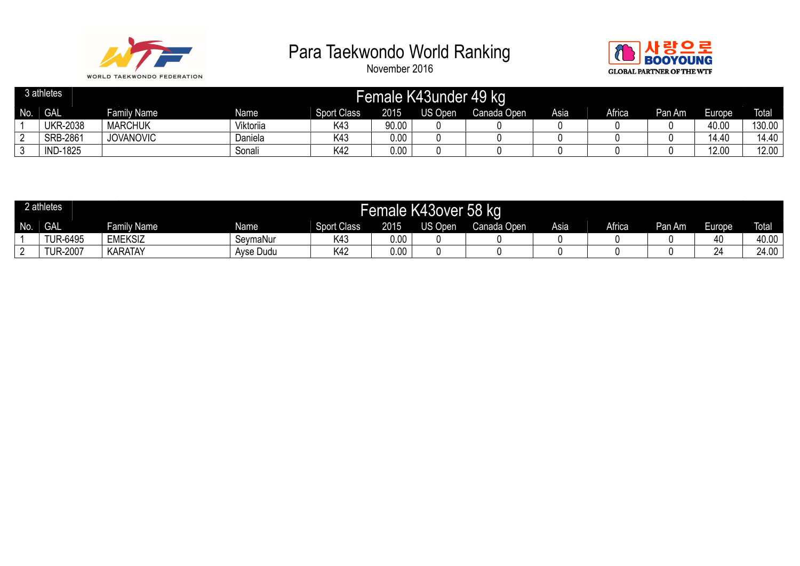



|     | 3 athletes      |                    |           |                    |       | Female K43under | 49 kg       |      |        |        |        |              |
|-----|-----------------|--------------------|-----------|--------------------|-------|-----------------|-------------|------|--------|--------|--------|--------------|
| No. | <b>GAL</b>      | <b>Family Name</b> | Name      | <b>Sport Class</b> | 2015  | <b>JS Open</b>  | Canada Open | Asia | Africa | Pan Am | Europe | <b>Total</b> |
|     | <b>UKR-2038</b> | <b>MARCHUK</b>     | Viktoriia | K43                | 90.00 |                 |             |      |        |        | 40.00  | 130.00       |
| -   | <b>SRB-2861</b> | <b>JOVANOVIC</b>   | Daniela   | K43                | 0.00  |                 |             |      |        |        | 14.40  | 14.40        |
|     | <b>IND-1825</b> |                    | Sonali    | K42                | 0.00  |                 |             |      |        |        | 12.00  | 12.00        |

|     | 2 athletes      |                |             |                    | Female I | K43over 58 kg |             |      |               |        |                                    |              |
|-----|-----------------|----------------|-------------|--------------------|----------|---------------|-------------|------|---------------|--------|------------------------------------|--------------|
| No. | <b>GAL</b>      | Family Name    | <b>Name</b> | <b>Sport Class</b> | 2015     | US Open       | Canada Open | Asia | <b>Africa</b> | Pan Am | $\overline{\phantom{a}}$<br>Europe | <b>Total</b> |
|     | <b>TUR-6495</b> | <b>EMEKSIZ</b> | SevmaNur    | K43                | $0.00\,$ |               |             |      |               |        | 40                                 | 40.00        |
|     | <b>TUR-2007</b> | KARATAY        | Ayse Dudu   | K42                | 0.00     |               |             |      |               |        | $\mathbf{a}$<br>44                 | 24.00        |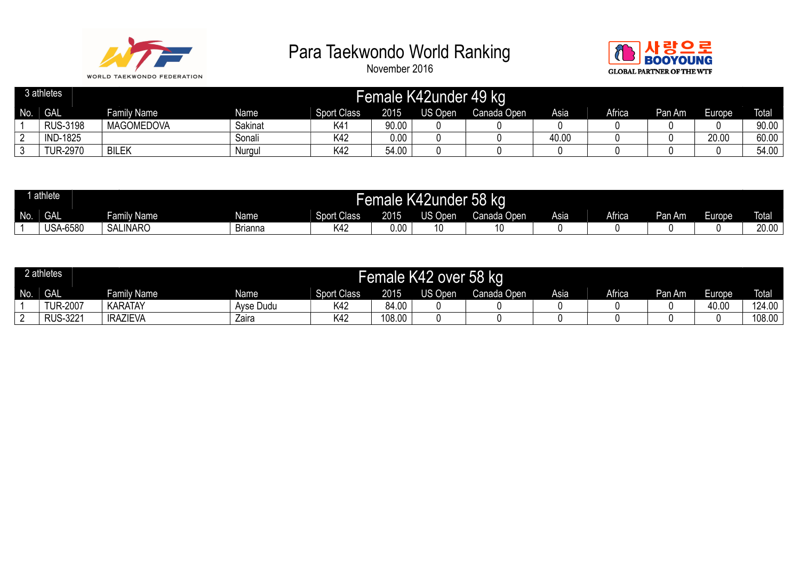



|          | 3 athletes      |                    |         |                    |       | Female K42under | 49 kg       |       |        |        |        |              |
|----------|-----------------|--------------------|---------|--------------------|-------|-----------------|-------------|-------|--------|--------|--------|--------------|
| No.      | <b>GAL</b>      | <b>Family Name</b> | Name    | <b>Sport Class</b> | 2015  | <b>JS Open</b>  | Canada Open | Asia  | Africa | Pan Am | Europe | <b>Total</b> |
|          | <b>RUS-3198</b> | <b>MAGOMEDOVA</b>  | Sakinat | K41                | 90.00 |                 |             |       |        |        |        | 90.00        |
| <u>.</u> | <b>IND-1825</b> |                    | Sonali  | K42                | 0.00  |                 |             | 40.00 |        |        | 20.00  | 60.00        |
|          | <b>TUR-2970</b> | <b>BILEK</b>       | Nurgul  | K42                | 54.00 |                 |             |       |        |        |        | 54.00        |

|     | ' athlete               |                 |                |                    | Female P | .42under<br>N4ZI               | $  -$<br>'58 kq |      |               |        |                |              |
|-----|-------------------------|-----------------|----------------|--------------------|----------|--------------------------------|-----------------|------|---------------|--------|----------------|--------------|
| No. | $\bigcap$<br><b>JAL</b> | Family Name     | Name           | <b>Sport Class</b> | 2015     | <sup>T</sup> <sup>Q</sup> Open | Canada Open     | Asia | <b>Africa</b> | Pan Am | Europe<br>au - | <b>Total</b> |
|     | <b>USA-6580</b>         | <b>SALINARO</b> | <b>Brianna</b> | K42                | 00.ر     | 10                             |                 |      |               |        |                | 20.00        |

|     | 2 athletes      |                    |           |                    |        | Female K42 over 58 kg |             |      |        |        |        |              |
|-----|-----------------|--------------------|-----------|--------------------|--------|-----------------------|-------------|------|--------|--------|--------|--------------|
| No. | <b>GAL</b>      | <b>Family Name</b> | Name      | <b>Sport Class</b> | 2015   | US Open               | Canada Open | Asia | Africa | Pan Am | Europe | <b>Total</b> |
|     | <b>IUR-2007</b> | <b>KARATAY</b>     | Ayse Dudu | K <sub>42</sub>    | 84.00  |                       |             |      |        |        | 40.00  | 124.00       |
|     | <b>RUS-3221</b> | <b>IRAZIEVA</b>    | Zaira     | K42                | 108.00 |                       |             |      |        |        |        | 108.00       |